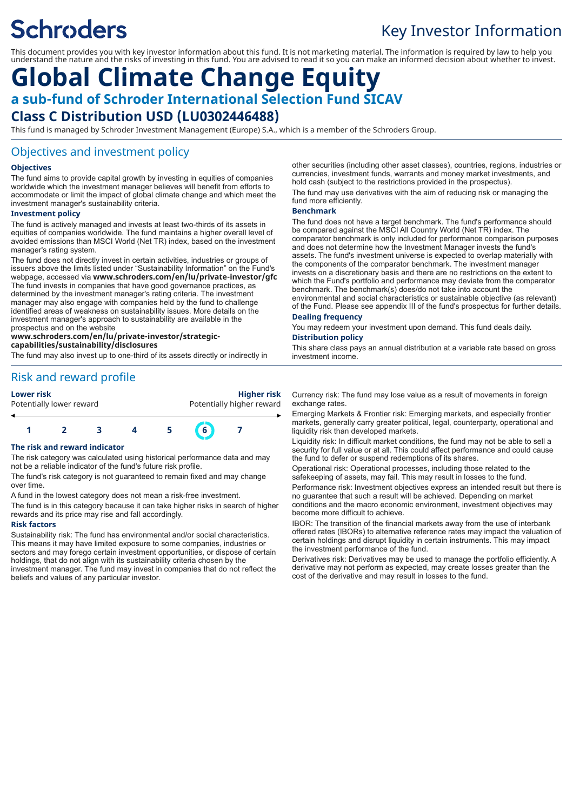# **Schroders**

## Key Investor Information

This document provides you with key investor information about this fund. It is not marketing material. The information is required by law to help you understand the nature and the risks of investing in this fund. You are advised to read it so you can make an informed decision about whether to invest.

### **Global Climate Change Equity a sub-fund of Schroder International Selection Fund SICAV Class C Distribution USD (LU0302446488)**

This fund is managed by Schroder Investment Management (Europe) S.A., which is a member of the Schroders Group.

#### Objectives and investment policy

#### **Objectives**

The fund aims to provide capital growth by investing in equities of companies worldwide which the investment manager believes will benefit from efforts to accommodate or limit the impact of global climate change and which meet the investment manager's sustainability criteria.

#### **Investment policy**

The fund is actively managed and invests at least two-thirds of its assets in equities of companies worldwide. The fund maintains a higher overall level of avoided emissions than MSCI World (Net TR) index, based on the investment manager's rating system.

The fund does not directly invest in certain activities, industries or groups of issuers above the limits listed under "Sustainability Information" on the Fund's webpage, accessed via **www.schroders.com/en/lu/private-investor/gfc** The fund invests in companies that have good governance practices, as determined by the investment manager's rating criteria. The investment manager may also engage with companies held by the fund to challenge identified areas of weakness on sustainability issues. More details on the investment manager's approach to sustainability are available in the prospectus and on the website

#### **www.schroders.com/en/lu/private-investor/strategic-**

**capabilities/sustainability/disclosures**

The fund may also invest up to one-third of its assets directly or indirectly in

### Risk and reward profile

**Lower risk Higher risk** Potentially higher reward



#### **The risk and reward indicator**

The risk category was calculated using historical performance data and may not be a reliable indicator of the fund's future risk profile.

The fund's risk category is not guaranteed to remain fixed and may change over time.

A fund in the lowest category does not mean a risk-free investment.

The fund is in this category because it can take higher risks in search of higher rewards and its price may rise and fall accordingly.

#### **Risk factors**

Sustainability risk: The fund has environmental and/or social characteristics. This means it may have limited exposure to some companies, industries or sectors and may forego certain investment opportunities, or dispose of certain holdings, that do not align with its sustainability criteria chosen by the investment manager. The fund may invest in companies that do not reflect the beliefs and values of any particular investor.

other securities (including other asset classes), countries, regions, industries or currencies, investment funds, warrants and money market investments, and hold cash (subject to the restrictions provided in the prospectus).

The fund may use derivatives with the aim of reducing risk or managing the fund more efficiently.

#### **Benchmark**

The fund does not have a target benchmark. The fund's performance should be compared against the MSCI All Country World (Net TR) index. The comparator benchmark is only included for performance comparison purposes and does not determine how the Investment Manager invests the fund's assets. The fund's investment universe is expected to overlap materially with the components of the comparator benchmark. The investment manager invests on a discretionary basis and there are no restrictions on the extent to which the Fund's portfolio and performance may deviate from the comparator benchmark. The benchmark(s) does/do not take into account the environmental and social characteristics or sustainable objective (as relevant) of the Fund. Please see appendix III of the fund's prospectus for further details.

#### **Dealing frequency**

You may redeem your investment upon demand. This fund deals daily. **Distribution policy**

This share class pays an annual distribution at a variable rate based on gross investment income.

Currency risk: The fund may lose value as a result of movements in foreign exchange rates.

Emerging Markets & Frontier risk: Emerging markets, and especially frontier markets, generally carry greater political, legal, counterparty, operational and liquidity risk than developed markets.

Liquidity risk: In difficult market conditions, the fund may not be able to sell a security for full value or at all. This could affect performance and could cause the fund to defer or suspend redemptions of its shares.

Operational risk: Operational processes, including those related to the safekeeping of assets, may fail. This may result in losses to the fund. Performance risk: Investment objectives express an intended result but there is no guarantee that such a result will be achieved. Depending on market conditions and the macro economic environment, investment objectives may become more difficult to achieve.

IBOR: The transition of the financial markets away from the use of interbank offered rates (IBORs) to alternative reference rates may impact the valuation of certain holdings and disrupt liquidity in certain instruments. This may impact the investment performance of the fund.

Derivatives risk: Derivatives may be used to manage the portfolio efficiently. A derivative may not perform as expected, may create losses greater than the cost of the derivative and may result in losses to the fund.